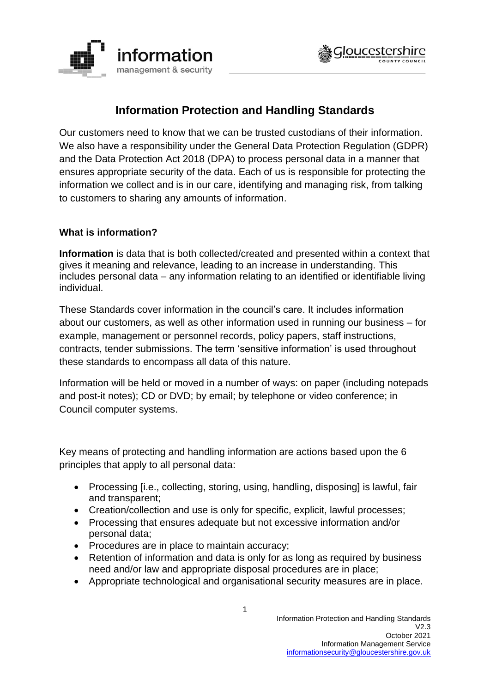



# **Information Protection and Handling Standards**

Our customers need to know that we can be trusted custodians of their information. We also have a responsibility under the General Data Protection Regulation (GDPR) and the Data Protection Act 2018 (DPA) to process personal data in a manner that ensures appropriate security of the data. Each of us is responsible for protecting the information we collect and is in our care, identifying and managing risk, from talking to customers to sharing any amounts of information.

#### **What is information?**

**Information** is data that is both collected/created and presented within a context that gives it meaning and relevance, leading to an increase in understanding. This includes personal data – any information relating to an identified or identifiable living individual.

These Standards cover information in the council's care. It includes information about our customers, as well as other information used in running our business – for example, management or personnel records, policy papers, staff instructions, contracts, tender submissions. The term 'sensitive information' is used throughout these standards to encompass all data of this nature.

Information will be held or moved in a number of ways: on paper (including notepads and post-it notes); CD or DVD; by email; by telephone or video conference; in Council computer systems.

Key means of protecting and handling information are actions based upon the 6 principles that apply to all personal data:

- Processing [i.e., collecting, storing, using, handling, disposing] is lawful, fair and transparent;
- Creation/collection and use is only for specific, explicit, lawful processes:
- Processing that ensures adequate but not excessive information and/or personal data;
- Procedures are in place to maintain accuracy;
- Retention of information and data is only for as long as required by business need and/or law and appropriate disposal procedures are in place;
- Appropriate technological and organisational security measures are in place.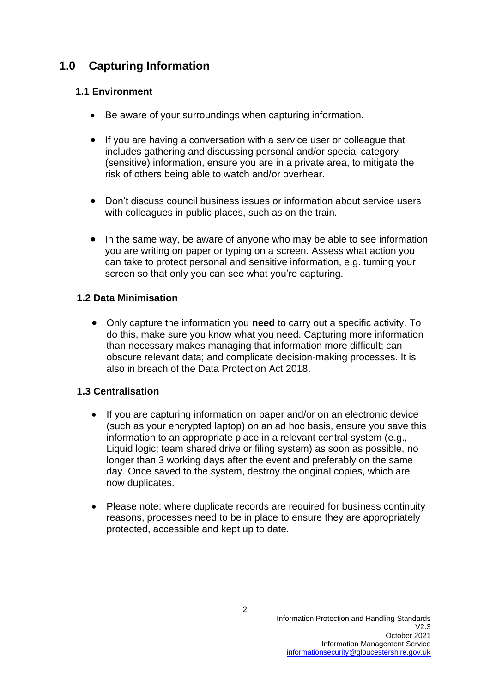# **1.0 Capturing Information**

## **1.1 Environment**

- Be aware of your surroundings when capturing information.
- If you are having a conversation with a service user or colleague that includes gathering and discussing personal and/or special category (sensitive) information, ensure you are in a private area, to mitigate the risk of others being able to watch and/or overhear.
- Don't discuss council business issues or information about service users with colleagues in public places, such as on the train.
- In the same way, be aware of anyone who may be able to see information you are writing on paper or typing on a screen. Assess what action you can take to protect personal and sensitive information, e.g. turning your screen so that only you can see what you're capturing.

### **1.2 Data Minimisation**

• Only capture the information you **need** to carry out a specific activity. To do this, make sure you know what you need. Capturing more information than necessary makes managing that information more difficult; can obscure relevant data; and complicate decision-making processes. It is also in breach of the Data Protection Act 2018.

#### **1.3 Centralisation**

- If you are capturing information on paper and/or on an electronic device (such as your encrypted laptop) on an ad hoc basis, ensure you save this information to an appropriate place in a relevant central system (e.g., Liquid logic; team shared drive or filing system) as soon as possible, no longer than 3 working days after the event and preferably on the same day. Once saved to the system, destroy the original copies, which are now duplicates.
- Please note: where duplicate records are required for business continuity reasons, processes need to be in place to ensure they are appropriately protected, accessible and kept up to date.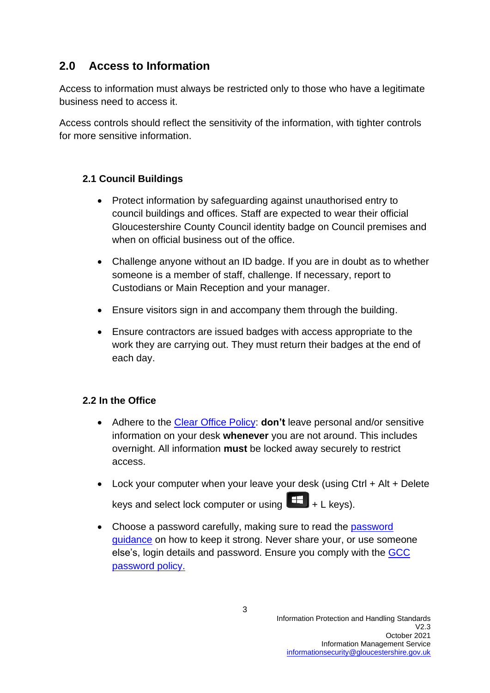# **2.0 Access to Information**

Access to information must always be restricted only to those who have a legitimate business need to access it.

Access controls should reflect the sensitivity of the information, with tighter controls for more sensitive information.

## **2.1 Council Buildings**

- Protect information by safeguarding against unauthorised entry to council buildings and offices. Staff are expected to wear their official Gloucestershire County Council identity badge on Council premises and when on official business out of the office.
- Challenge anyone without an ID badge. If you are in doubt as to whether someone is a member of staff, challenge. If necessary, report to Custodians or Main Reception and your manager.
- Ensure visitors sign in and accompany them through the building.
- Ensure contractors are issued badges with access appropriate to the work they are carrying out. They must return their badges at the end of each day.

## **2.2 In the Office**

- Adhere to the [Clear Office Policy:](https://www.gloucestershire.gov.uk/media/2094220/clear-office-policy-v1-0.pdf) **don't** leave personal and/or sensitive information on your desk **whenever** you are not around. This includes overnight. All information **must** be locked away securely to restrict access.
- Lock your computer when your leave your desk (using Ctrl + Alt + Delete keys and select lock computer or using  $\Box$  + L keys).
- Choose a [password](https://staffnet.gloucestershire.gov.uk/internal-services/information-management-service/cyber-security/passwords/#main) carefully, making sure to read the password [guidance](https://staffnet.gloucestershire.gov.uk/internal-services/information-management-service/cyber-security/passwords/#main) on how to keep it strong. Never share your, or use someone else's, login details and password. Ensure you comply with the [GCC](http://www.gloucestershire.gov.uk/media/1519558/gcc-password-policy.pdf)  [password policy.](http://www.gloucestershire.gov.uk/media/1519558/gcc-password-policy.pdf)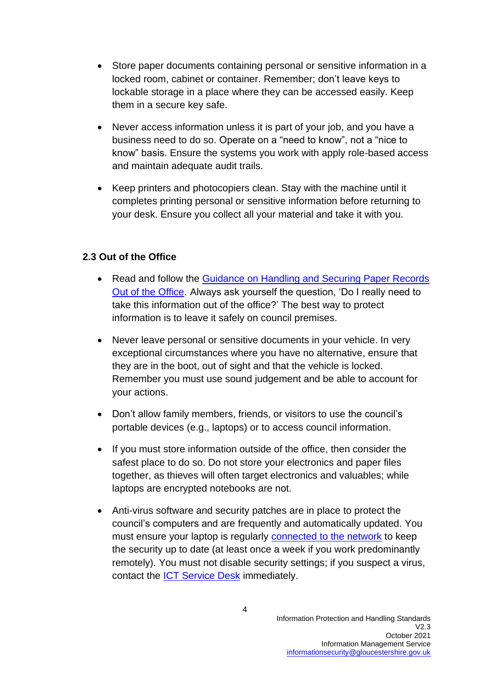- Store paper documents containing personal or sensitive information in a locked room, cabinet or container. Remember; don't leave keys to lockable storage in a place where they can be accessed easily. Keep them in a secure key safe.
- Never access information unless it is part of your job, and you have a business need to do so. Operate on a "need to know", not a "nice to know" basis. Ensure the systems you work with apply role-based access and maintain adequate audit trails.
- Keep printers and photocopiers clean. Stay with the machine until it completes printing personal or sensitive information before returning to your desk. Ensure you collect all your material and take it with you.

### **2.3 Out of the Office**

- Read and follow the [Guidance on Handling and Securing Paper Records](https://staffnet.gloucestershire.gov.uk/internal-services/information-management-service/storing-retrieving-and-disposing-of-data/handling-and-securing-physical-records-when-out-of-the-office/)  [Out of the Office.](https://staffnet.gloucestershire.gov.uk/internal-services/information-management-service/storing-retrieving-and-disposing-of-data/handling-and-securing-physical-records-when-out-of-the-office/) Always ask yourself the question, 'Do I really need to take this information out of the office?' The best way to protect information is to leave it safely on council premises.
- Never leave personal or sensitive documents in your vehicle. In very exceptional circumstances where you have no alternative, ensure that they are in the boot, out of sight and that the vehicle is locked. Remember you must use sound judgement and be able to account for your actions.
- Don't allow family members, friends, or visitors to use the council's portable devices (e.g., laptops) or to access council information.
- If you must store information outside of the office, then consider the safest place to do so. Do not store your electronics and paper files together, as thieves will often target electronics and valuables; while laptops are encrypted notebooks are not.
- Anti-virus software and security patches are in place to protect the council's computers and are frequently and automatically updated. You must ensure your laptop is regularly [connected to the network](https://staffnet.gloucestershire.gov.uk/internal-services/the-ict-service/laptop-updates-working-remotely/) to keep the security up to date (at least once a week if you work predominantly remotely). You must not disable security settings; if you suspect a virus, contact the [ICT Service Desk](https://staffnet.gloucestershire.gov.uk/internal-services/the-ict-service/) immediately.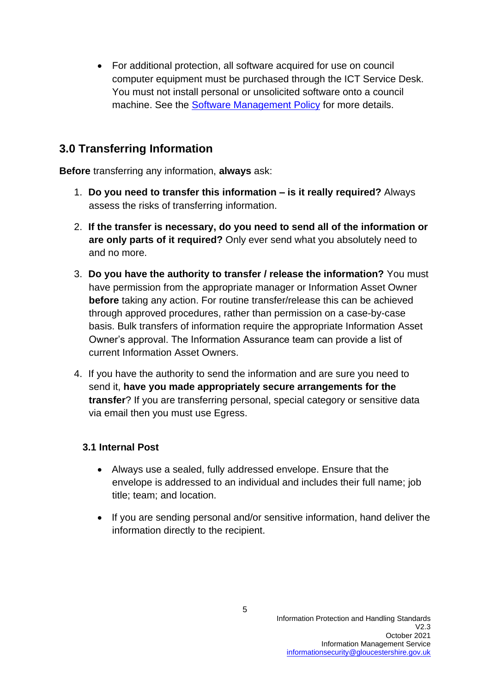• For additional protection, all software acquired for use on council computer equipment must be purchased through the ICT Service Desk. You must not install personal or unsolicited software onto a council machine. See the [Software Management Policy](https://www.gloucestershire.gov.uk/media/14325/software-management-policy-v1-4-december-2016.pdf) for more details.

# **3.0 Transferring Information**

**Before** transferring any information, **always** ask:

- 1. **Do you need to transfer this information – is it really required?** Always assess the risks of transferring information.
- 2. **If the transfer is necessary, do you need to send all of the information or are only parts of it required?** Only ever send what you absolutely need to and no more.
- 3. **Do you have the authority to transfer / release the information?** You must have permission from the appropriate manager or Information Asset Owner **before** taking any action. For routine transfer/release this can be achieved through approved procedures, rather than permission on a case-by-case basis. Bulk transfers of information require the appropriate Information Asset Owner's approval. The Information Assurance team can provide a list of current Information Asset Owners.
- 4. If you have the authority to send the information and are sure you need to send it, **have you made appropriately secure arrangements for the transfer**? If you are transferring personal, special category or sensitive data via email then you must use Egress.

## **3.1 Internal Post**

- Always use a sealed, fully addressed envelope. Ensure that the envelope is addressed to an individual and includes their full name; job title; team; and location.
- If you are sending personal and/or sensitive information, hand deliver the information directly to the recipient.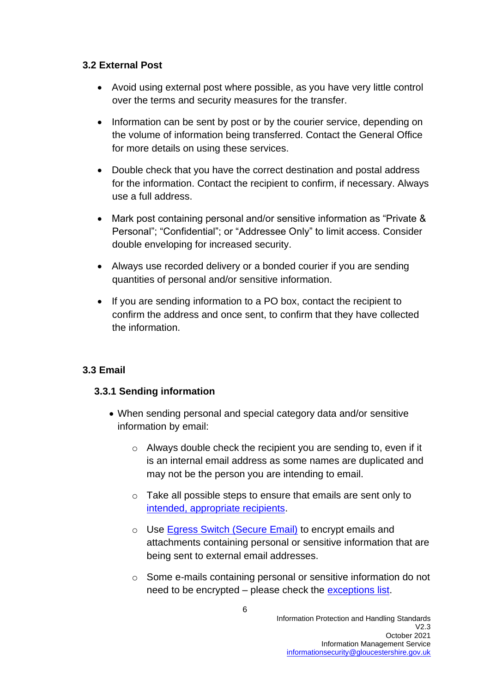#### **3.2 External Post**

- Avoid using external post where possible, as you have very little control over the terms and security measures for the transfer.
- Information can be sent by post or by the courier service, depending on the volume of information being transferred. Contact the General Office for more details on using these services.
- Double check that you have the correct destination and postal address for the information. Contact the recipient to confirm, if necessary. Always use a full address.
- Mark post containing personal and/or sensitive information as "Private & Personal"; "Confidential"; or "Addressee Only" to limit access. Consider double enveloping for increased security.
- Always use recorded delivery or a bonded courier if you are sending quantities of personal and/or sensitive information.
- If you are sending information to a PO box, contact the recipient to confirm the address and once sent, to confirm that they have collected the information.

#### **3.3 Email**

#### **3.3.1 Sending information**

- When sending personal and special category data and/or sensitive information by email:
	- o Always double check the recipient you are sending to, even if it is an internal email address as some names are duplicated and may not be the person you are intending to email.
	- o Take all possible steps to ensure that emails are sent only to [intended, appropriate recipients.](https://staffnet.gloucestershire.gov.uk/media/222223/gcc_1021-worksmarter-manage-your-outlook-auto-complete-address-list-final.pdf)
	- o Use [Egress Switch \(Secure Email\)](https://staffnet.gloucestershire.gov.uk/internal-services/information-management-service/keeping-your-emails-secure/egress-switch/#main) to encrypt emails and attachments containing personal or sensitive information that are being sent to external email addresses.
	- o Some e-mails containing personal or sensitive information do not need to be encrypted – please check the [exceptions list.](https://staffnet.gloucestershire.gov.uk/internal-services/information-management-service/keeping-your-emails-secure/egress-switch/#main)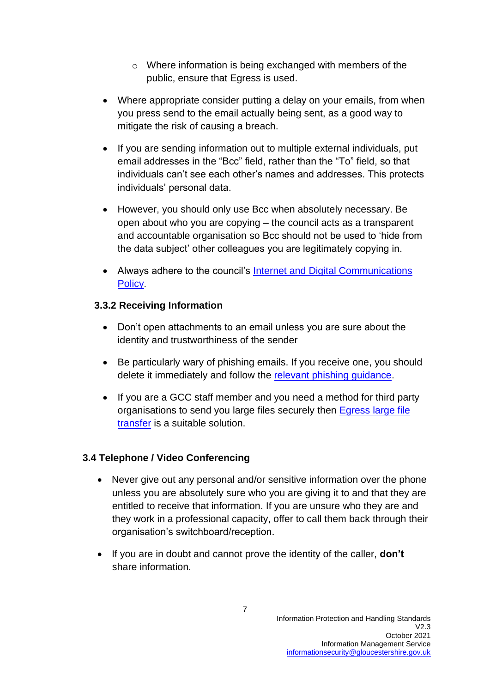- o Where information is being exchanged with members of the public, ensure that Egress is used.
- Where appropriate consider putting a delay on your emails, from when you press send to the email actually being sent, as a good way to mitigate the risk of causing a breach.
- If you are sending information out to multiple external individuals, put email addresses in the "Bcc" field, rather than the "To" field, so that individuals can't see each other's names and addresses. This protects individuals' personal data.
- However, you should only use Bcc when absolutely necessary. Be open about who you are copying – the council acts as a transparent and accountable organisation so Bcc should not be used to 'hide from the data subject' other colleagues you are legitimately copying in.
- Always adhere to the council's Internet and Digital Communications [Policy](https://www.gloucestershire.gov.uk/media/2103620/internet-and-digital-communications-policy-v24-december-2020-2.pdf).

### **3.3.2 Receiving Information**

- Don't open attachments to an email unless you are sure about the identity and trustworthiness of the sender
- Be particularly wary of phishing emails. If you receive one, you should delete it immediately and follow the relevant phishing [guidance.](https://staffnet.gloucestershire.gov.uk/internal-services/information-management-service/cyber-security/)
- If you are a GCC staff member and you need a method for third party organisations to send you large files securely then [Egress large file](https://staffnet.gloucestershire.gov.uk/internal-services/the-ict-service/egress-large-file-transfer-from-third-parties/)  [transfer](https://staffnet.gloucestershire.gov.uk/internal-services/the-ict-service/egress-large-file-transfer-from-third-parties/) is a suitable solution.

## **3.4 Telephone / Video Conferencing**

- Never give out any personal and/or sensitive information over the phone unless you are absolutely sure who you are giving it to and that they are entitled to receive that information. If you are unsure who they are and they work in a professional capacity, offer to call them back through their organisation's switchboard/reception.
- If you are in doubt and cannot prove the identity of the caller, **don't** share information.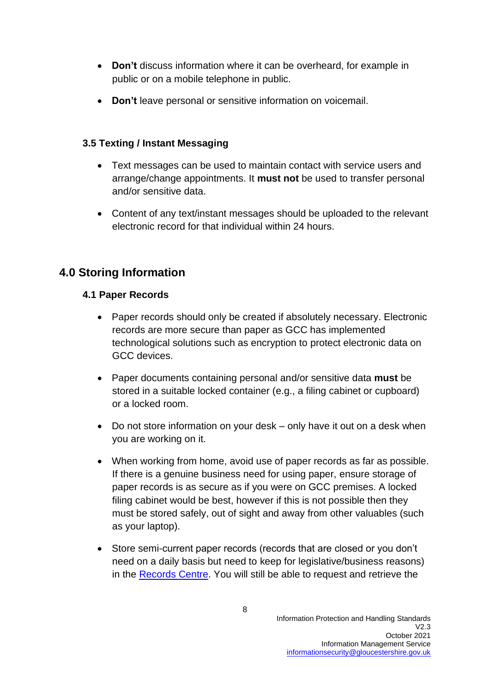- **Don't** discuss information where it can be overheard, for example in public or on a mobile telephone in public.
- **Don't** leave personal or sensitive information on voicemail.

### **3.5 Texting / Instant Messaging**

- Text messages can be used to maintain contact with service users and arrange/change appointments. It **must not** be used to transfer personal and/or sensitive data.
- Content of any text/instant messages should be uploaded to the relevant electronic record for that individual within 24 hours.

# **4.0 Storing Information**

### **4.1 Paper Records**

- Paper records should only be created if absolutely necessary. Electronic records are more secure than paper as GCC has implemented technological solutions such as encryption to protect electronic data on GCC devices.
- Paper documents containing personal and/or sensitive data **must** be stored in a suitable locked container (e.g., a filing cabinet or cupboard) or a locked room.
- Do not store information on your desk only have it out on a desk when you are working on it.
- When working from home, avoid use of paper records as far as possible. If there is a genuine business need for using paper, ensure storage of paper records is as secure as if you were on GCC premises. A locked filing cabinet would be best, however if this is not possible then they must be stored safely, out of sight and away from other valuables (such as your laptop).
- Store semi-current paper records (records that are closed or you don't need on a daily basis but need to keep for legislative/business reasons) in the [Records Centre.](https://staffnet.gloucestershire.gov.uk/internal-services/information-management-service/storing-retrieving-and-disposing-of-data/records-centre/) You will still be able to request and retrieve the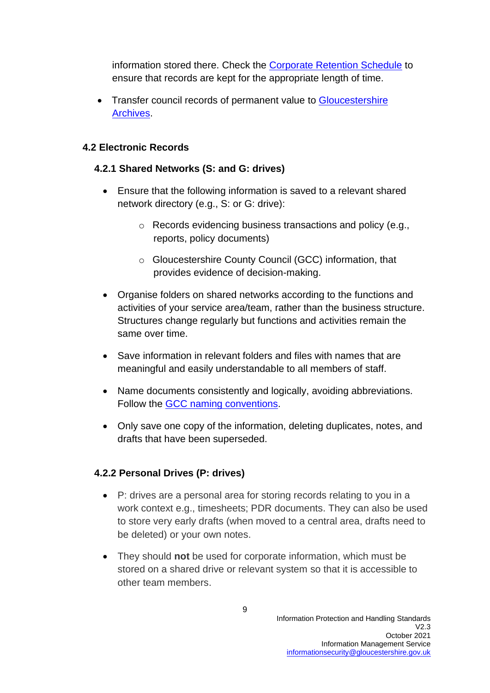information stored there. Check the [Corporate Retention Schedule](https://www.gloucestershire.gov.uk/media/2103618/2020-retention-schedule-v34.pdf) to ensure that records are kept for the appropriate length of time.

• Transfer council records of permanent value to Gloucestershire [Archives.](https://staffnet.gloucestershire.gov.uk/public-facing-departments/archives/archives/)

### **4.2 Electronic Records**

#### **4.2.1 Shared Networks (S: and G: drives)**

- Ensure that the following information is saved to a relevant shared network directory (e.g., S: or G: drive):
	- o Records evidencing business transactions and policy (e.g., reports, policy documents)
	- o Gloucestershire County Council (GCC) information, that provides evidence of decision-making.
- Organise folders on shared networks according to the functions and activities of your service area/team, rather than the business structure. Structures change regularly but functions and activities remain the same over time.
- Save information in relevant folders and files with names that are meaningful and easily understandable to all members of staff.
- Name documents consistently and logically, avoiding abbreviations. Follow the [GCC naming conventions.](https://staffnet.gloucestershire.gov.uk/internal-services/information-management-service/storing-retrieving-and-disposing-of-data/electronic-records-management-e-storage/organising-your-documents/naming-conventions/#main)
- Only save one copy of the information, deleting duplicates, notes, and drafts that have been superseded.

## **4.2.2 Personal Drives (P: drives)**

- P: drives are a personal area for storing records relating to you in a work context e.g., timesheets; PDR documents. They can also be used to store very early drafts (when moved to a central area, drafts need to be deleted) or your own notes.
- They should **not** be used for corporate information, which must be stored on a shared drive or relevant system so that it is accessible to other team members.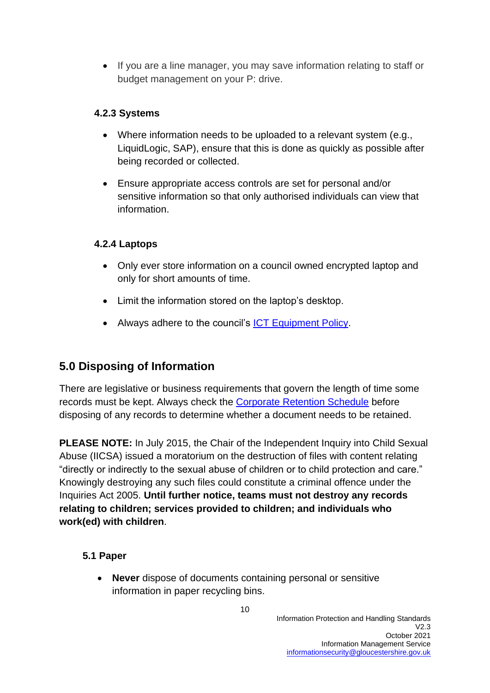• If you are a line manager, you may save information relating to staff or budget management on your P: drive.

## **4.2.3 Systems**

- Where information needs to be uploaded to a relevant system (e.g., LiquidLogic, SAP), ensure that this is done as quickly as possible after being recorded or collected.
- Ensure appropriate access controls are set for personal and/or sensitive information so that only authorised individuals can view that information.

## **4.2.4 Laptops**

- Only ever store information on a council owned encrypted laptop and only for short amounts of time.
- Limit the information stored on the laptop's desktop.
- Always adhere to the council's **ICT Equipment Policy**.

# **5.0 Disposing of Information**

There are legislative or business requirements that govern the length of time some records must be kept. Always check the [Corporate Retention Schedule](https://www.gloucestershire.gov.uk/media/2103618/2020-retention-schedule-v34.pdf) before disposing of any records to determine whether a document needs to be retained.

**PLEASE NOTE:** In July 2015, the Chair of the Independent Inquiry into Child Sexual Abuse (IICSA) issued a moratorium on the destruction of files with content relating "directly or indirectly to the sexual abuse of children or to child protection and care." Knowingly destroying any such files could constitute a criminal offence under the Inquiries Act 2005. **Until further notice, teams must not destroy any records relating to children; services provided to children; and individuals who work(ed) with children**.

## **5.1 Paper**

• **Never** dispose of documents containing personal or sensitive information in paper recycling bins.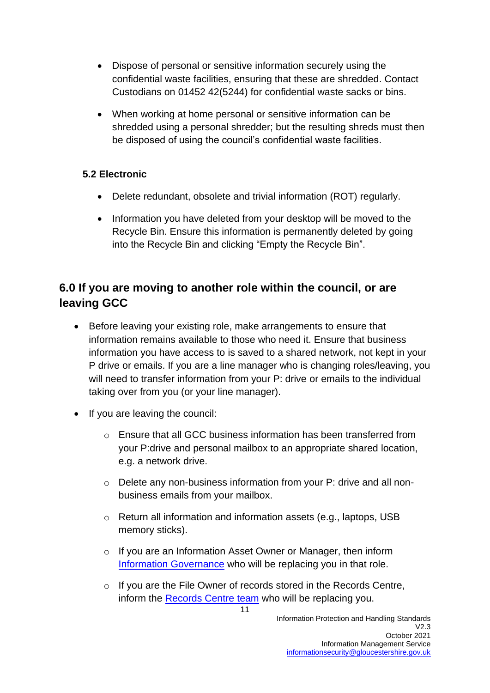- Dispose of personal or sensitive information securely using the confidential waste facilities, ensuring that these are shredded. Contact Custodians on 01452 42(5244) for confidential waste sacks or bins.
- When working at home personal or sensitive information can be shredded using a personal shredder; but the resulting shreds must then be disposed of using the council's confidential waste facilities.

## **5.2 Electronic**

- Delete redundant, obsolete and trivial information (ROT) regularly.
- Information you have deleted from your desktop will be moved to the Recycle Bin. Ensure this information is permanently deleted by going into the Recycle Bin and clicking "Empty the Recycle Bin".

# **6.0 If you are moving to another role within the council, or are leaving GCC**

- Before leaving your existing role, make arrangements to ensure that information remains available to those who need it. Ensure that business information you have access to is saved to a shared network, not kept in your P drive or emails. If you are a line manager who is changing roles/leaving, you will need to transfer information from your P: drive or emails to the individual taking over from you (or your line manager).
- If you are leaving the council:
	- $\circ$  Ensure that all GCC business information has been transferred from your P:drive and personal mailbox to an appropriate shared location, e.g. a network drive.
	- o Delete any non-business information from your P: drive and all nonbusiness emails from your mailbox.
	- o Return all information and information assets (e.g., laptops, USB memory sticks).
	- o If you are an Information Asset Owner or Manager, then inform [Information Governance](mailto:dpo@gloucestershire.gov.uk) who will be replacing you in that role.
	- o If you are the File Owner of records stored in the Records Centre, inform the [Records Centre team](mailto:recordscentre@gloucestershire.gov.uk) who will be replacing you.